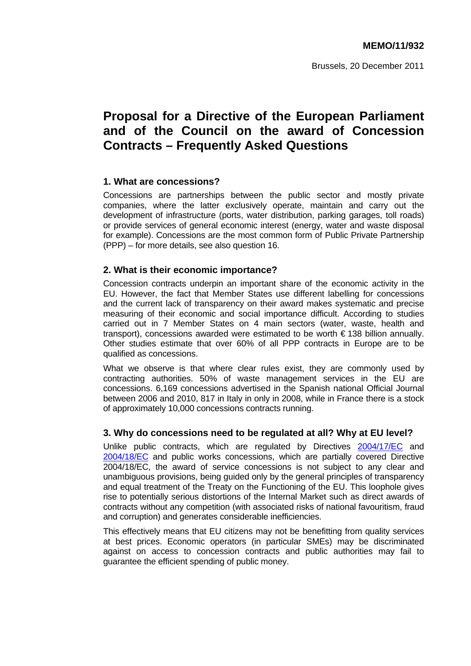Brussels, 20 December 2011

# **Proposal for a Directive of the European Parliament and of the Council on the award of Concession Contracts – Frequently Asked Questions**

#### **1. What are concessions?**

Concessions are partnerships between the public sector and mostly private companies, where the latter exclusively operate, maintain and carry out the development of infrastructure (ports, water distribution, parking garages, toll roads) or provide services of general economic interest (energy, water and waste disposal for example). Concessions are the most common form of Public Private Partnership (PPP) – for more details, see also question 16.

## **2. What is their economic importance?**

Concession contracts underpin an important share of the economic activity in the EU. However, the fact that Member States use different labelling for concessions and the current lack of transparency on their award makes systematic and precise measuring of their economic and social importance difficult. According to studies carried out in 7 Member States on 4 main sectors (water, waste, health and transport), concessions awarded were estimated to be worth  $\epsilon$  138 billion annually. Other studies estimate that over 60% of all PPP contracts in Europe are to be qualified as concessions.

What we observe is that where clear rules exist, they are commonly used by contracting authorities. 50% of waste management services in the EU are concessions. 6,169 concessions advertised in the Spanish national Official Journal between 2006 and 2010, 817 in Italy in only in 2008, while in France there is a stock of approximately 10,000 concessions contracts running.

#### **3. Why do concessions need to be regulated at all? Why at EU level?**

Unlike public contracts, which are regulated by Directives [2004/17/EC](http://eur-lex.europa.eu/LexUriServ/LexUriServ.do?uri=OJ:L:2004:134:0001:0113:en:PDF) and [2004/18/EC](http://eur-lex.europa.eu/LexUriServ/LexUriServ.do?uri=OJ:L:2004:134:0114:0240:EN:PDF) and public works concessions, which are partially covered Directive 2004/18/EC, the award of service concessions is not subject to any clear and unambiguous provisions, being guided only by the general principles of transparency and equal treatment of the Treaty on the Functioning of the EU. This loophole gives rise to potentially serious distortions of the Internal Market such as direct awards of contracts without any competition (with associated risks of national favouritism, fraud and corruption) and generates considerable inefficiencies.

This effectively means that EU citizens may not be benefitting from quality services at best prices. Economic operators (in particular SMEs) may be discriminated against on access to concession contracts and public authorities may fail to guarantee the efficient spending of public money.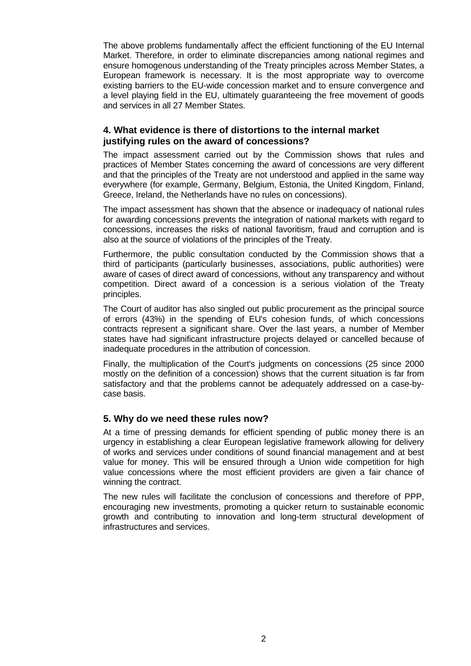The above problems fundamentally affect the efficient functioning of the EU Internal Market. Therefore, in order to eliminate discrepancies among national regimes and ensure homogenous understanding of the Treaty principles across Member States, a European framework is necessary. It is the most appropriate way to overcome existing barriers to the EU-wide concession market and to ensure convergence and a level playing field in the EU, ultimately guaranteeing the free movement of goods and services in all 27 Member States.

## **4. What evidence is there of distortions to the internal market justifying rules on the award of concessions?**

The impact assessment carried out by the Commission shows that rules and practices of Member States concerning the award of concessions are very different and that the principles of the Treaty are not understood and applied in the same way everywhere (for example, Germany, Belgium, Estonia, the United Kingdom, Finland, Greece, Ireland, the Netherlands have no rules on concessions).

The impact assessment has shown that the absence or inadequacy of national rules for awarding concessions prevents the integration of national markets with regard to concessions, increases the risks of national favoritism, fraud and corruption and is also at the source of violations of the principles of the Treaty.

Furthermore, the public consultation conducted by the Commission shows that a third of participants (particularly businesses, associations, public authorities) were aware of cases of direct award of concessions, without any transparency and without competition. Direct award of a concession is a serious violation of the Treaty principles.

The Court of auditor has also singled out public procurement as the principal source of errors (43%) in the spending of EU's cohesion funds, of which concessions contracts represent a significant share. Over the last years, a number of Member states have had significant infrastructure projects delayed or cancelled because of inadequate procedures in the attribution of concession.

Finally, the multiplication of the Court's judgments on concessions (25 since 2000 mostly on the definition of a concession) shows that the current situation is far from satisfactory and that the problems cannot be adequately addressed on a case-bycase basis.

#### **5. Why do we need these rules now?**

At a time of pressing demands for efficient spending of public money there is an urgency in establishing a clear European legislative framework allowing for delivery of works and services under conditions of sound financial management and at best value for money. This will be ensured through a Union wide competition for high value concessions where the most efficient providers are given a fair chance of winning the contract.

The new rules will facilitate the conclusion of concessions and therefore of PPP, encouraging new investments, promoting a quicker return to sustainable economic growth and contributing to innovation and long-term structural development of infrastructures and services.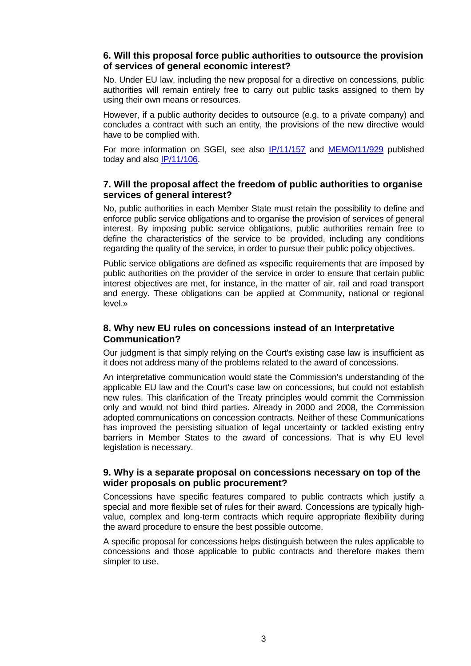#### **6. Will this proposal force public authorities to outsource the provision of services of general economic interest?**

No. Under EU law, including the new proposal for a directive on concessions, public authorities will remain entirely free to carry out public tasks assigned to them by using their own means or resources.

However, if a public authority decides to outsource (e.g. to a private company) and concludes a contract with such an entity, the provisions of the new directive would have to be complied with.

For more information on SGEI, see also [IP/11/157](http://europa.eu/rapid/pressReleasesAction.do?reference=IP/11/157&format=HTML&aged=0&language=EN&guiLanguage=en) and [MEMO/11/929](http://europa.eu/rapid/pressReleasesAction.do?reference=MEMO/11/929&format=HTML&aged=0&language=EN&guiLanguage=en) published today and also  $IP/11/106$ .

## **7. Will the proposal affect the freedom of public authorities to organise services of general interest?**

No, public authorities in each Member State must retain the possibility to define and enforce public service obligations and to organise the provision of services of general interest. By imposing public service obligations, public authorities remain free to define the characteristics of the service to be provided, including any conditions regarding the quality of the service, in order to pursue their public policy objectives.

Public service obligations are defined as «specific requirements that are imposed by public authorities on the provider of the service in order to ensure that certain public interest objectives are met, for instance, in the matter of air, rail and road transport and energy. These obligations can be applied at Community, national or regional level.»

# **8. Why new EU rules on concessions instead of an Interpretative Communication?**

Our judgment is that simply relying on the Court's existing case law is insufficient as it does not address many of the problems related to the award of concessions.

An interpretative communication would state the Commission's understanding of the applicable EU law and the Court's case law on concessions, but could not establish new rules. This clarification of the Treaty principles would commit the Commission only and would not bind third parties. Already in 2000 and 2008, the Commission adopted communications on concession contracts. Neither of these Communications has improved the persisting situation of legal uncertainty or tackled existing entry barriers in Member States to the award of concessions. That is why EU level legislation is necessary.

#### **9. Why is a separate proposal on concessions necessary on top of the wider proposals on public procurement?**

Concessions have specific features compared to public contracts which justify a special and more flexible set of rules for their award. Concessions are typically highvalue, complex and long-term contracts which require appropriate flexibility during the award procedure to ensure the best possible outcome.

A specific proposal for concessions helps distinguish between the rules applicable to concessions and those applicable to public contracts and therefore makes them simpler to use.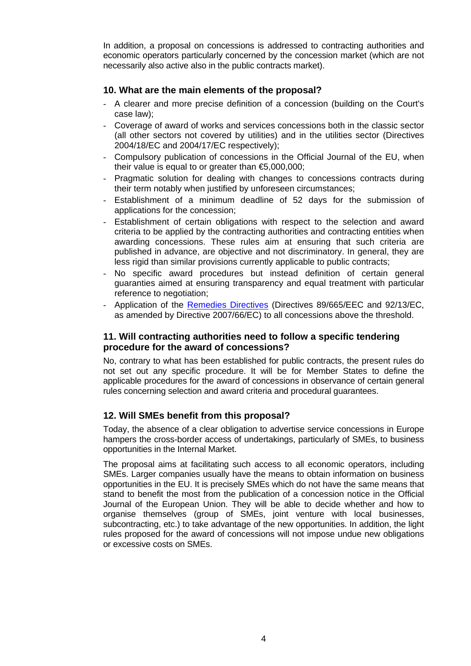In addition, a proposal on concessions is addressed to contracting authorities and economic operators particularly concerned by the concession market (which are not necessarily also active also in the public contracts market).

## **10. What are the main elements of the proposal?**

- A clearer and more precise definition of a concession (building on the Court's case law);
- Coverage of award of works and services concessions both in the classic sector (all other sectors not covered by utilities) and in the utilities sector (Directives 2004/18/EC and 2004/17/EC respectively);
- Compulsory publication of concessions in the Official Journal of the EU, when their value is equal to or greater than €5,000,000;
- Pragmatic solution for dealing with changes to concessions contracts during their term notably when justified by unforeseen circumstances;
- Establishment of a minimum deadline of 52 days for the submission of applications for the concession;
- Establishment of certain obligations with respect to the selection and award criteria to be applied by the contracting authorities and contracting entities when awarding concessions. These rules aim at ensuring that such criteria are published in advance, are objective and not discriminatory. In general, they are less rigid than similar provisions currently applicable to public contracts;
- No specific award procedures but instead definition of certain general guaranties aimed at ensuring transparency and equal treatment with particular reference to negotiation;
- Application of the [Remedies Directives](http://ec.europa.eu/internal_market/publicprocurement/infringements/remedies/index_en.htm) (Directives 89/665/EEC and 92/13/EC, as amended by Directive 2007/66/EC) to all concessions above the threshold.

## **11. Will contracting authorities need to follow a specific tendering procedure for the award of concessions?**

No, contrary to what has been established for public contracts, the present rules do not set out any specific procedure. It will be for Member States to define the applicable procedures for the award of concessions in observance of certain general rules concerning selection and award criteria and procedural guarantees.

# **12. Will SMEs benefit from this proposal?**

Today, the absence of a clear obligation to advertise service concessions in Europe hampers the cross-border access of undertakings, particularly of SMEs, to business opportunities in the Internal Market.

The proposal aims at facilitating such access to all economic operators, including SMEs. Larger companies usually have the means to obtain information on business opportunities in the EU. It is precisely SMEs which do not have the same means that stand to benefit the most from the publication of a concession notice in the Official Journal of the European Union. They will be able to decide whether and how to organise themselves (group of SMEs, joint venture with local businesses, subcontracting, etc.) to take advantage of the new opportunities. In addition, the light rules proposed for the award of concessions will not impose undue new obligations or excessive costs on SMEs.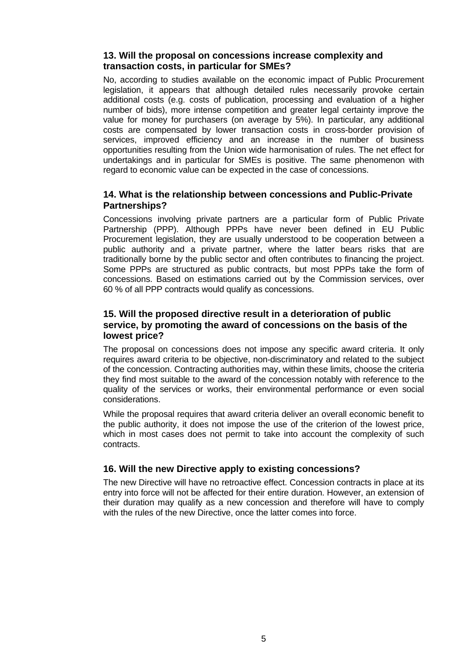#### **13. Will the proposal on concessions increase complexity and transaction costs, in particular for SMEs?**

No, according to studies available on the economic impact of Public Procurement legislation, it appears that although detailed rules necessarily provoke certain additional costs (e.g. costs of publication, processing and evaluation of a higher number of bids), more intense competition and greater legal certainty improve the value for money for purchasers (on average by 5%). In particular, any additional costs are compensated by lower transaction costs in cross-border provision of services, improved efficiency and an increase in the number of business opportunities resulting from the Union wide harmonisation of rules. The net effect for undertakings and in particular for SMEs is positive. The same phenomenon with regard to economic value can be expected in the case of concessions.

#### **14. What is the relationship between concessions and Public-Private Partnerships?**

Concessions involving private partners are a particular form of Public Private Partnership (PPP). Although PPPs have never been defined in EU Public Procurement legislation, they are usually understood to be cooperation between a public authority and a private partner, where the latter bears risks that are traditionally borne by the public sector and often contributes to financing the project. Some PPPs are structured as public contracts, but most PPPs take the form of concessions. Based on estimations carried out by the Commission services, over 60 % of all PPP contracts would qualify as concessions.

## **15. Will the proposed directive result in a deterioration of public service, by promoting the award of concessions on the basis of the lowest price?**

The proposal on concessions does not impose any specific award criteria. It only requires award criteria to be objective, non-discriminatory and related to the subject of the concession. Contracting authorities may, within these limits, choose the criteria they find most suitable to the award of the concession notably with reference to the quality of the services or works, their environmental performance or even social considerations.

While the proposal requires that award criteria deliver an overall economic benefit to the public authority, it does not impose the use of the criterion of the lowest price, which in most cases does not permit to take into account the complexity of such contracts.

# **16. Will the new Directive apply to existing concessions?**

The new Directive will have no retroactive effect. Concession contracts in place at its entry into force will not be affected for their entire duration. However, an extension of their duration may qualify as a new concession and therefore will have to comply with the rules of the new Directive, once the latter comes into force.